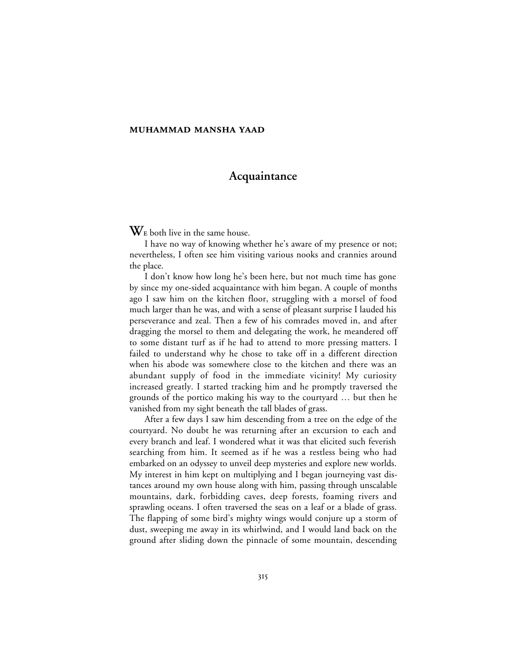## **Acquaintance**

 $\mathbf{W}_{\rm E}$  both live in the same house.

I have no way of knowing whether he's aware of my presence or not; nevertheless, I often see him visiting various nooks and crannies around the place.

I don't know how long he's been here, but not much time has gone by since my one-sided acquaintance with him began. A couple of months ago I saw him on the kitchen floor, struggling with a morsel of food much larger than he was, and with a sense of pleasant surprise I lauded his perseverance and zeal. Then a few of his comrades moved in, and after dragging the morsel to them and delegating the work, he meandered off to some distant turf as if he had to attend to more pressing matters. I failed to understand why he chose to take off in a different direction when his abode was somewhere close to the kitchen and there was an abundant supply of food in the immediate vicinity! My curiosity increased greatly. I started tracking him and he promptly traversed the grounds of the portico making his way to the courtyard … but then he vanished from my sight beneath the tall blades of grass.

After a few days I saw him descending from a tree on the edge of the courtyard. No doubt he was returning after an excursion to each and every branch and leaf. I wondered what it was that elicited such feverish searching from him. It seemed as if he was a restless being who had embarked on an odyssey to unveil deep mysteries and explore new worlds. My interest in him kept on multiplying and I began journeying vast distances around my own house along with him, passing through unscalable mountains, dark, forbidding caves, deep forests, foaming rivers and sprawling oceans. I often traversed the seas on a leaf or a blade of grass. The flapping of some bird's mighty wings would conjure up a storm of dust, sweeping me away in its whirlwind, and I would land back on the ground after sliding down the pinnacle of some mountain, descending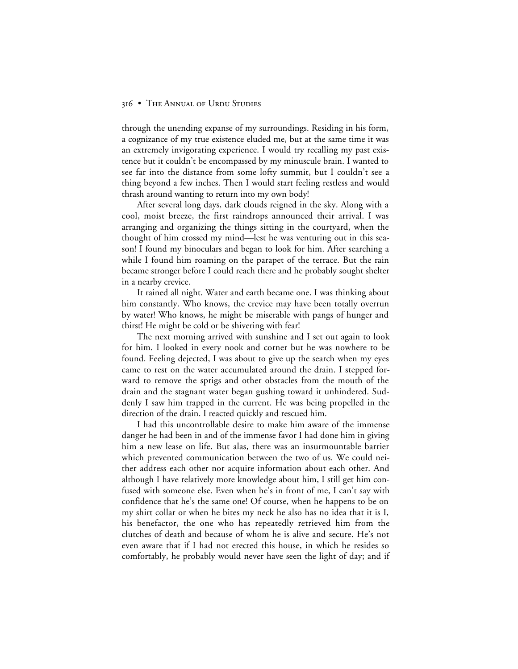through the unending expanse of my surroundings. Residing in his form, a cognizance of my true existence eluded me, but at the same time it was an extremely invigorating experience. I would try recalling my past existence but it couldn't be encompassed by my minuscule brain. I wanted to see far into the distance from some lofty summit, but I couldn't see a thing beyond a few inches. Then I would start feeling restless and would thrash around wanting to return into my own body!

After several long days, dark clouds reigned in the sky. Along with a cool, moist breeze, the first raindrops announced their arrival. I was arranging and organizing the things sitting in the courtyard, when the thought of him crossed my mind—lest he was venturing out in this season! I found my binoculars and began to look for him. After searching a while I found him roaming on the parapet of the terrace. But the rain became stronger before I could reach there and he probably sought shelter in a nearby crevice.

It rained all night. Water and earth became one. I was thinking about him constantly. Who knows, the crevice may have been totally overrun by water! Who knows, he might be miserable with pangs of hunger and thirst! He might be cold or be shivering with fear!

The next morning arrived with sunshine and I set out again to look for him. I looked in every nook and corner but he was nowhere to be found. Feeling dejected, I was about to give up the search when my eyes came to rest on the water accumulated around the drain. I stepped forward to remove the sprigs and other obstacles from the mouth of the drain and the stagnant water began gushing toward it unhindered. Suddenly I saw him trapped in the current. He was being propelled in the direction of the drain. I reacted quickly and rescued him.

I had this uncontrollable desire to make him aware of the immense danger he had been in and of the immense favor I had done him in giving him a new lease on life. But alas, there was an insurmountable barrier which prevented communication between the two of us. We could neither address each other nor acquire information about each other. And although I have relatively more knowledge about him, I still get him confused with someone else. Even when he's in front of me, I can't say with confidence that he's the same one! Of course, when he happens to be on my shirt collar or when he bites my neck he also has no idea that it is I, his benefactor, the one who has repeatedly retrieved him from the clutches of death and because of whom he is alive and secure. He's not even aware that if I had not erected this house, in which he resides so comfortably, he probably would never have seen the light of day; and if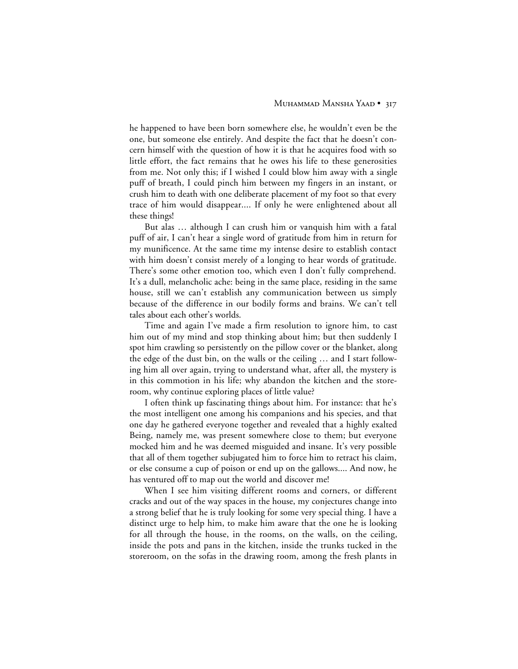he happened to have been born somewhere else, he wouldn't even be the one, but someone else entirely. And despite the fact that he doesn't concern himself with the question of how it is that he acquires food with so little effort, the fact remains that he owes his life to these generosities from me. Not only this; if I wished I could blow him away with a single puff of breath, I could pinch him between my fingers in an instant, or crush him to death with one deliberate placement of my foot so that every trace of him would disappear.... If only he were enlightened about all these things!

But alas … although I can crush him or vanquish him with a fatal puff of air, I can't hear a single word of gratitude from him in return for my munificence. At the same time my intense desire to establish contact with him doesn't consist merely of a longing to hear words of gratitude. There's some other emotion too, which even I don't fully comprehend. It's a dull, melancholic ache: being in the same place, residing in the same house, still we can't establish any communication between us simply because of the difference in our bodily forms and brains. We can't tell tales about each other's worlds.

Time and again I've made a firm resolution to ignore him, to cast him out of my mind and stop thinking about him; but then suddenly I spot him crawling so persistently on the pillow cover or the blanket, along the edge of the dust bin, on the walls or the ceiling … and I start following him all over again, trying to understand what, after all, the mystery is in this commotion in his life; why abandon the kitchen and the storeroom, why continue exploring places of little value?

I often think up fascinating things about him. For instance: that he's the most intelligent one among his companions and his species, and that one day he gathered everyone together and revealed that a highly exalted Being, namely me, was present somewhere close to them; but everyone mocked him and he was deemed misguided and insane. It's very possible that all of them together subjugated him to force him to retract his claim, or else consume a cup of poison or end up on the gallows.... And now, he has ventured off to map out the world and discover me!

When I see him visiting different rooms and corners, or different cracks and out of the way spaces in the house, my conjectures change into a strong belief that he is truly looking for some very special thing. I have a distinct urge to help him, to make him aware that the one he is looking for all through the house, in the rooms, on the walls, on the ceiling, inside the pots and pans in the kitchen, inside the trunks tucked in the storeroom, on the sofas in the drawing room, among the fresh plants in